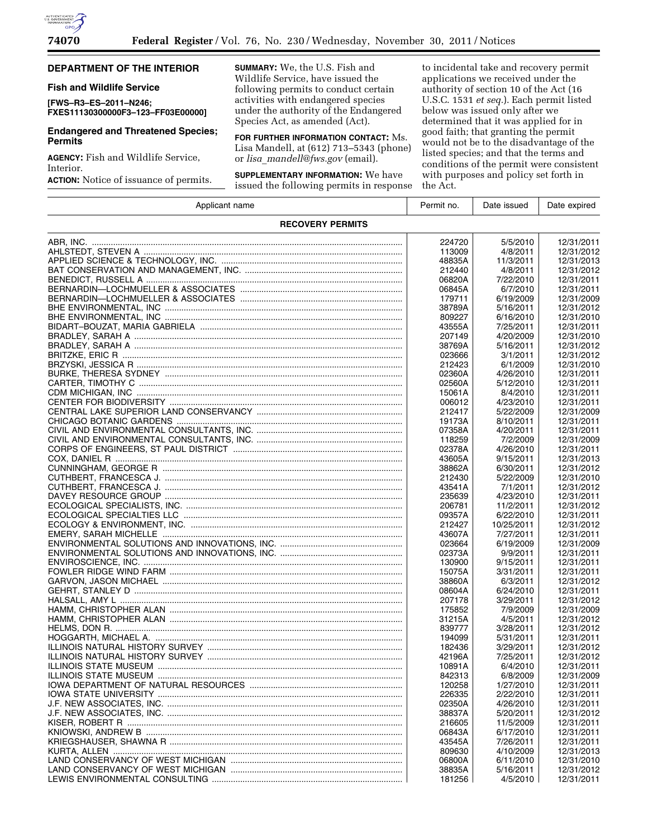

# **DEPARTMENT OF THE INTERIOR**

# **Fish and Wildlife Service**

**[FWS–R3–ES–2011–N246; FXES11130300000F3–123–FF03E00000]** 

# **Endangered and Threatened Species; Permits**

**AGENCY:** Fish and Wildlife Service, Interior.

**ACTION:** Notice of issuance of permits.

**SUMMARY:** We, the U.S. Fish and Wildlife Service, have issued the following permits to conduct certain activities with endangered species under the authority of the Endangered Species Act, as amended (Act).

**FOR FURTHER INFORMATION CONTACT:** Ms. Lisa Mandell, at (612) 713–5343 (phone) or *lisa*\_*[mandell@fws.gov](mailto:lisa_mandell@fws.gov)* (email).

**SUPPLEMENTARY INFORMATION:** We have issued the following permits in response

to incidental take and recovery permit applications we received under the authority of section 10 of the Act (16 U.S.C. 1531 *et seq.*). Each permit listed below was issued only after we determined that it was applied for in good faith; that granting the permit would not be to the disadvantage of the listed species; and that the terms and conditions of the permit were consistent with purposes and policy set forth in the Act.

| Applicant name                                          | Permit no. | Date issued | Date expired |  |  |  |
|---------------------------------------------------------|------------|-------------|--------------|--|--|--|
| <b>RECOVERY PERMITS</b>                                 |            |             |              |  |  |  |
|                                                         | 224720     | 5/5/2010    | 12/31/2011   |  |  |  |
|                                                         | 113009     | 4/8/2011    | 12/31/2012   |  |  |  |
|                                                         | 48835A     | 11/3/2011   | 12/31/2013   |  |  |  |
|                                                         |            |             |              |  |  |  |
|                                                         | 212440     | 4/8/2011    | 12/31/2012   |  |  |  |
|                                                         | 06820A     | 7/22/2010   | 12/31/2011   |  |  |  |
|                                                         | 06845A     | 6/7/2010    | 12/31/2011   |  |  |  |
|                                                         | 179711     | 6/19/2009   | 12/31/2009   |  |  |  |
|                                                         | 38789A     | 5/16/2011   | 12/31/2012   |  |  |  |
|                                                         | 809227     | 6/16/2010   | 12/31/2010   |  |  |  |
|                                                         | 43555A     | 7/25/2011   | 12/31/2011   |  |  |  |
|                                                         | 207149     | 4/20/2009   | 12/31/2010   |  |  |  |
|                                                         | 38769A     | 5/16/2011   | 12/31/2012   |  |  |  |
|                                                         | 023666     | 3/1/2011    | 12/31/2012   |  |  |  |
|                                                         | 212423     | 6/1/2009    | 12/31/2010   |  |  |  |
|                                                         | 02360A     | 4/26/2010   | 12/31/2011   |  |  |  |
|                                                         | 02560A     | 5/12/2010   | 12/31/2011   |  |  |  |
|                                                         | 15061A     | 8/4/2010    | 12/31/2011   |  |  |  |
|                                                         | 006012     | 4/23/2010   | 12/31/2011   |  |  |  |
|                                                         | 212417     | 5/22/2009   | 12/31/2009   |  |  |  |
|                                                         | 19173A     | 8/10/2011   | 12/31/2011   |  |  |  |
|                                                         |            |             |              |  |  |  |
|                                                         | 07358A     | 4/20/2011   | 12/31/2011   |  |  |  |
|                                                         | 118259     | 7/2/2009    | 12/31/2009   |  |  |  |
|                                                         | 02378A     | 4/26/2010   | 12/31/2011   |  |  |  |
|                                                         | 43605A     | 9/15/2011   | 12/31/2013   |  |  |  |
|                                                         | 38862A     | 6/30/2011   | 12/31/2012   |  |  |  |
|                                                         | 212430     | 5/22/2009   | 12/31/2010   |  |  |  |
|                                                         | 43541A     | 7/1/2011    | 12/31/2012   |  |  |  |
|                                                         | 235639     | 4/23/2010   | 12/31/2011   |  |  |  |
|                                                         | 206781     | 11/2/2011   | 12/31/2012   |  |  |  |
|                                                         | 09357A     | 6/22/2010   | 12/31/2011   |  |  |  |
|                                                         | 212427     | 10/25/2011  | 12/31/2012   |  |  |  |
|                                                         | 43607A     | 7/27/2011   | 12/31/2011   |  |  |  |
|                                                         | 023664     | 6/19/2009   | 12/31/2009   |  |  |  |
|                                                         | 02373A     | 9/9/2011    | 12/31/2011   |  |  |  |
|                                                         | 130900     | 9/15/2011   | 12/31/2011   |  |  |  |
|                                                         | 15075A     | 3/31/2011   | 12/31/2011   |  |  |  |
| GARVON, JASON MICHAEL ……………………………………………………………………………………… | 38860A     | 6/3/2011    | 12/31/2012   |  |  |  |
|                                                         | 08604A     | 6/24/2010   | 12/31/2011   |  |  |  |
|                                                         | 207178     | 3/29/2011   | 12/31/2012   |  |  |  |
|                                                         | 175852     |             |              |  |  |  |
|                                                         |            | 7/9/2009    | 12/31/2009   |  |  |  |
|                                                         | 31215A     | 4/5/2011    | 12/31/2012   |  |  |  |
|                                                         | 839777     | 3/28/2011   | 12/31/2012   |  |  |  |
|                                                         | 194099     | 5/31/2011   | 12/31/2011   |  |  |  |
|                                                         | 182436     | 3/29/2011   | 12/31/2012   |  |  |  |
|                                                         | 42196A     | 7/25/2011   | 12/31/2012   |  |  |  |
|                                                         | 10891A     | 6/4/2010    | 12/31/2011   |  |  |  |
| <b>ILLINOIS STATE MUSEUM.</b>                           | 842313     | 6/8/2009    | 12/31/2009   |  |  |  |
|                                                         | 120258     | 1/27/2010   | 12/31/2011   |  |  |  |
|                                                         | 226335     | 2/22/2010   | 12/31/2011   |  |  |  |
|                                                         | 02350A     | 4/26/2010   | 12/31/2011   |  |  |  |
|                                                         | 38837A     | 5/20/2011   | 12/31/2012   |  |  |  |
|                                                         | 216605     | 11/5/2009   | 12/31/2011   |  |  |  |
|                                                         | 06843A     | 6/17/2010   | 12/31/2011   |  |  |  |
|                                                         | 43545A     | 7/26/2011   | 12/31/2011   |  |  |  |
|                                                         | 809630     | 4/10/2009   | 12/31/2013   |  |  |  |
|                                                         | 06800A     | 6/11/2010   | 12/31/2010   |  |  |  |
|                                                         | 38835A     | 5/16/2011   | 12/31/2012   |  |  |  |
|                                                         | 181256     | 4/5/2010    | 12/31/2011   |  |  |  |
|                                                         |            |             |              |  |  |  |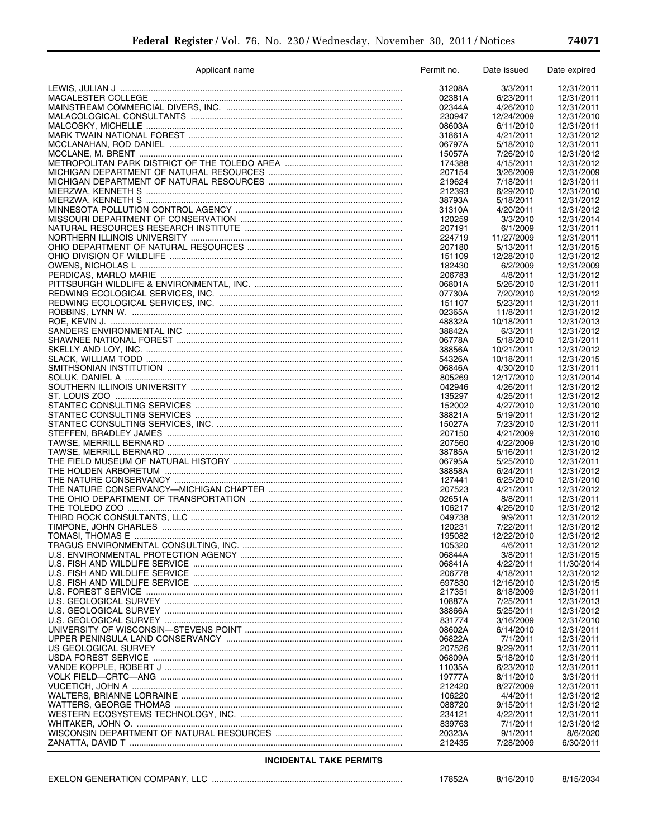| Applicant name                 | Permit no.       | Date issued             | Date expired             |
|--------------------------------|------------------|-------------------------|--------------------------|
|                                | 31208A           | 3/3/2011                | 12/31/2011               |
|                                | 02381A           | 6/23/2011               | 12/31/2011               |
|                                | 02344A           | 4/26/2010               | 12/31/2011               |
|                                | 230947           | 12/24/2009              | 12/31/2010               |
|                                | 08603A<br>31861A | 6/11/2010<br>4/21/2011  | 12/31/2011<br>12/31/2012 |
|                                | 06797A           | 5/18/2010               | 12/31/2011               |
|                                | 15057A           | 7/26/2010               | 12/31/2012               |
|                                | 174388           | 4/15/2011               | 12/31/2012               |
|                                | 207154           | 3/26/2009               | 12/31/2009               |
|                                | 219624           | 7/18/2011               | 12/31/2011               |
|                                | 212393<br>38793A | 6/29/2010<br>5/18/2011  | 12/31/2010<br>12/31/2012 |
|                                | 31310A           | 4/20/2011               | 12/31/2012               |
|                                | 120259           | 3/3/2010                | 12/31/2014               |
|                                | 207191           | 6/1/2009                | 12/31/2011               |
|                                | 224719           | 11/27/2009              | 12/31/2011               |
|                                | 207180           | 5/13/2011               | 12/31/2015               |
|                                | 151109<br>182430 | 12/28/2010<br>6/2/2009  | 12/31/2012<br>12/31/2009 |
|                                | 206783           | 4/8/2011                | 12/31/2012               |
|                                | 06801A           | 5/26/2010               | 12/31/2011               |
|                                | 07730A           | 7/20/2010               | 12/31/2012               |
|                                | 151107           | 5/23/2011               | 12/31/2011               |
|                                | 02365A           | 11/8/2011               | 12/31/2012               |
|                                | 48832A<br>38842A | 10/18/2011<br>6/3/2011  | 12/31/2013<br>12/31/2012 |
|                                | 06778A           | 5/18/2010               | 12/31/2011               |
|                                | 38856A           | 10/21/2011              | 12/31/2012               |
|                                | 54326A           | 10/18/2011              | 12/31/2015               |
|                                | 06846A           | 4/30/2010               | 12/31/2011               |
|                                | 805269           | 12/17/2010              | 12/31/2014               |
|                                | 042946<br>135297 | 4/26/2011<br>4/25/2011  | 12/31/2012<br>12/31/2012 |
|                                | 152002           | 4/27/2010               | 12/31/2010               |
|                                | 38821A           | 5/19/2011               | 12/31/2012               |
|                                | 15027A           | 7/23/2010               | 12/31/2011               |
|                                | 207150           | 4/21/2009               | 12/31/2010               |
|                                | 207560           | 4/22/2009               | 12/31/2010               |
|                                | 38785A<br>06795A | 5/16/2011<br>5/25/2010  | 12/31/2012<br>12/31/2011 |
|                                | 38858A           | 6/24/2011               | 12/31/2012               |
|                                | 127441           | 6/25/2010               | 12/31/2010               |
|                                | 207523           | 4/21/2011               | 12/31/2012               |
|                                | 02651A           | 8/8/2011                | 12/31/2011               |
|                                | 106217<br>049738 | 4/26/2010<br>9/9/2011   | 12/31/2012<br>12/31/2012 |
|                                | 120231           | 7/22/2011               | 12/31/2012               |
|                                | 195082           | 12/22/2010              | 12/31/2012               |
|                                | 105320           | 4/6/2011                | 12/31/2012               |
|                                | 06844A           | 3/8/2011                | 12/31/2015               |
|                                | 06841A           | 4/22/2011               | 11/30/2014               |
|                                | 206778<br>697830 | 4/18/2011<br>12/16/2010 | 12/31/2012<br>12/31/2015 |
|                                | 217351           | 8/18/2009               | 12/31/2011               |
|                                | 10887A           | 7/25/2011               | 12/31/2013               |
|                                | 38866A           | 5/25/2011               | 12/31/2012               |
|                                | 831774           | 3/16/2009               | 12/31/2010               |
|                                | 08602A           | 6/14/2010               | 12/31/2011<br>12/31/2011 |
|                                | 06822A<br>207526 | 7/1/2011<br>9/29/2011   | 12/31/2011               |
|                                | 06809A           | 5/18/2010               | 12/31/2011               |
|                                | 11035A           | 6/23/2010               | 12/31/2011               |
|                                | 19777A           | 8/11/2010               | 3/31/2011                |
|                                | 212420           | 8/27/2009               | 12/31/2011               |
|                                | 106220           | 4/4/2011                | 12/31/2012               |
|                                | 088720<br>234121 | 9/15/2011<br>4/22/2011  | 12/31/2012<br>12/31/2011 |
|                                | 839763           | 7/1/2011                | 12/31/2012               |
|                                | 20323A           | 9/1/2011                | 8/6/2020                 |
|                                | 212435           | 7/28/2009               | 6/30/2011                |
| <b>INCIDENTAL TAKE PERMITS</b> |                  |                         |                          |
|                                |                  |                         |                          |

| <b>EXELON GENERATION</b><br><b>AN COMPANY</b> | 78521   | 9/16/2010 | 8/15/2034 |
|-----------------------------------------------|---------|-----------|-----------|
|                                               | . 78521 |           |           |